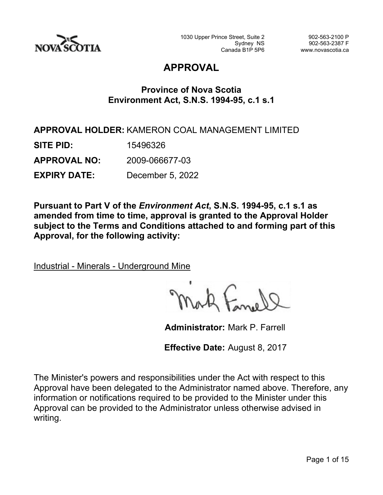

# **APPROVAL**

# **Province of Nova Scotia Environment Act, S.N.S. 1994-95, c.1 s.1**

**APPROVAL HOLDER:** KAMERON COAL MANAGEMENT LIMITED **SITE PID:** 15496326 **APPROVAL NO:** 2009-066677-03 **EXPIRY DATE:** December 5, 2022

**Pursuant to Part V of the** *Environment Act***, S.N.S. 1994-95, c.1 s.1 as amended from time to time, approval is granted to the Approval Holder subject to the Terms and Conditions attached to and forming part of this Approval, for the following activity:**

Industrial - Minerals - Underground Mine

**Administrator:** Mark P. Farrell

**Effective Date:** August 8, 2017

The Minister's powers and responsibilities under the Act with respect to this Approval have been delegated to the Administrator named above. Therefore, any information or notifications required to be provided to the Minister under this Approval can be provided to the Administrator unless otherwise advised in writing.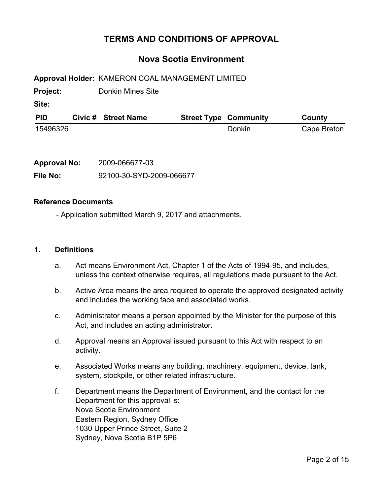# **TERMS AND CONDITIONS OF APPROVAL**

## **Nova Scotia Environment**

**Approval Holder:** KAMERON COAL MANAGEMENT LIMITED

**Project:** Donkin Mines Site

**Site:**

| <b>PID</b> | Civic # Street Name | <b>Street Type Community</b> | County      |
|------------|---------------------|------------------------------|-------------|
| 15496326   |                     | Donkin                       | Cape Breton |

| <b>Approval No:</b> | 2009-066677-03           |  |  |  |  |  |
|---------------------|--------------------------|--|--|--|--|--|
| File No:            | 92100-30-SYD-2009-066677 |  |  |  |  |  |

#### **Reference Documents**

- Application submitted March 9, 2017 and attachments.

#### **1. Definitions**

- a. Act means Environment Act, Chapter 1 of the Acts of 1994-95, and includes, unless the context otherwise requires, all regulations made pursuant to the Act.
- b. Active Area means the area required to operate the approved designated activity and includes the working face and associated works.
- c. Administrator means a person appointed by the Minister for the purpose of this Act, and includes an acting administrator.
- d. Approval means an Approval issued pursuant to this Act with respect to an activity.
- e. Associated Works means any building, machinery, equipment, device, tank, system, stockpile, or other related infrastructure.
- f. Department means the Department of Environment, and the contact for the Department for this approval is: Nova Scotia Environment Eastern Region, Sydney Office 1030 Upper Prince Street, Suite 2 Sydney, Nova Scotia B1P 5P6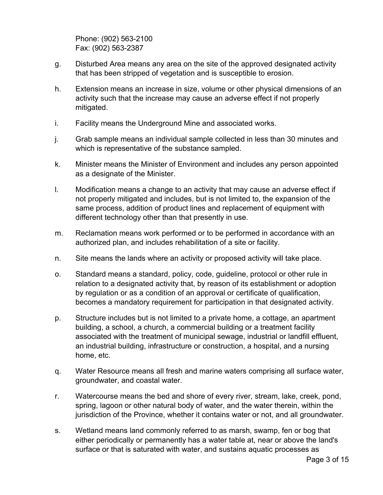Phone: (902) 563-2100 Fax: (902) 563-2387

- g. Disturbed Area means any area on the site of the approved designated activity that has been stripped of vegetation and is susceptible to erosion.
- h. Extension means an increase in size, volume or other physical dimensions of an activity such that the increase may cause an adverse effect if not properly mitigated.
- i. Facility means the Underground Mine and associated works.
- j. Grab sample means an individual sample collected in less than 30 minutes and which is representative of the substance sampled.
- k. Minister means the Minister of Environment and includes any person appointed as a designate of the Minister.
- l. Modification means a change to an activity that may cause an adverse effect if not properly mitigated and includes, but is not limited to, the expansion of the same process, addition of product lines and replacement of equipment with different technology other than that presently in use.
- m. Reclamation means work performed or to be performed in accordance with an authorized plan, and includes rehabilitation of a site or facility.
- n. Site means the lands where an activity or proposed activity will take place.
- o. Standard means a standard, policy, code, guideline, protocol or other rule in relation to a designated activity that, by reason of its establishment or adoption by regulation or as a condition of an approval or certificate of qualification, becomes a mandatory requirement for participation in that designated activity.
- p. Structure includes but is not limited to a private home, a cottage, an apartment building, a school, a church, a commercial building or a treatment facility associated with the treatment of municipal sewage, industrial or landfill effluent, an industrial building, infrastructure or construction, a hospital, and a nursing home, etc.
- q. Water Resource means all fresh and marine waters comprising all surface water, groundwater, and coastal water.
- r. Watercourse means the bed and shore of every river, stream, lake, creek, pond, spring, lagoon or other natural body of water, and the water therein, within the jurisdiction of the Province, whether it contains water or not, and all groundwater.
- s. Wetland means land commonly referred to as marsh, swamp, fen or bog that either periodically or permanently has a water table at, near or above the land's surface or that is saturated with water, and sustains aquatic processes as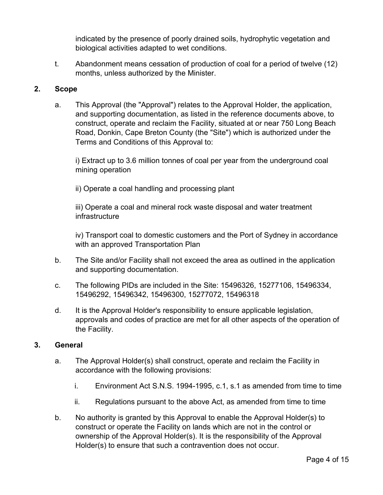indicated by the presence of poorly drained soils, hydrophytic vegetation and biological activities adapted to wet conditions.

t. Abandonment means cessation of production of coal for a period of twelve (12) months, unless authorized by the Minister.

#### **2. Scope**

a. This Approval (the "Approval") relates to the Approval Holder, the application, and supporting documentation, as listed in the reference documents above, to construct, operate and reclaim the Facility, situated at or near 750 Long Beach Road, Donkin, Cape Breton County (the "Site") which is authorized under the Terms and Conditions of this Approval to:

i) Extract up to 3.6 million tonnes of coal per year from the underground coal mining operation

ii) Operate a coal handling and processing plant

iii) Operate a coal and mineral rock waste disposal and water treatment infrastructure

iv) Transport coal to domestic customers and the Port of Sydney in accordance with an approved Transportation Plan

- b. The Site and/or Facility shall not exceed the area as outlined in the application and supporting documentation.
- c. The following PIDs are included in the Site: 15496326, 15277106, 15496334, 15496292, 15496342, 15496300, 15277072, 15496318
- d. It is the Approval Holder's responsibility to ensure applicable legislation, approvals and codes of practice are met for all other aspects of the operation of the Facility.

#### **3. General**

- a. The Approval Holder(s) shall construct, operate and reclaim the Facility in accordance with the following provisions:
	- i. Environment Act S.N.S. 1994-1995, c.1, s.1 as amended from time to time
	- ii. Regulations pursuant to the above Act, as amended from time to time
- b. No authority is granted by this Approval to enable the Approval Holder(s) to construct or operate the Facility on lands which are not in the control or ownership of the Approval Holder(s). It is the responsibility of the Approval Holder(s) to ensure that such a contravention does not occur.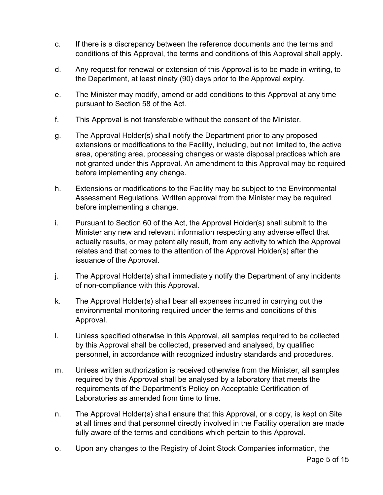- c. If there is a discrepancy between the reference documents and the terms and conditions of this Approval, the terms and conditions of this Approval shall apply.
- d. Any request for renewal or extension of this Approval is to be made in writing, to the Department, at least ninety (90) days prior to the Approval expiry.
- e. The Minister may modify, amend or add conditions to this Approval at any time pursuant to Section 58 of the Act.
- f. This Approval is not transferable without the consent of the Minister.
- g. The Approval Holder(s) shall notify the Department prior to any proposed extensions or modifications to the Facility, including, but not limited to, the active area, operating area, processing changes or waste disposal practices which are not granted under this Approval. An amendment to this Approval may be required before implementing any change.
- h. Extensions or modifications to the Facility may be subject to the Environmental Assessment Regulations. Written approval from the Minister may be required before implementing a change.
- i. Pursuant to Section 60 of the Act, the Approval Holder(s) shall submit to the Minister any new and relevant information respecting any adverse effect that actually results, or may potentially result, from any activity to which the Approval relates and that comes to the attention of the Approval Holder(s) after the issuance of the Approval.
- j. The Approval Holder(s) shall immediately notify the Department of any incidents of non-compliance with this Approval.
- k. The Approval Holder(s) shall bear all expenses incurred in carrying out the environmental monitoring required under the terms and conditions of this Approval.
- l. Unless specified otherwise in this Approval, all samples required to be collected by this Approval shall be collected, preserved and analysed, by qualified personnel, in accordance with recognized industry standards and procedures.
- m. Unless written authorization is received otherwise from the Minister, all samples required by this Approval shall be analysed by a laboratory that meets the requirements of the Department's Policy on Acceptable Certification of Laboratories as amended from time to time.
- n. The Approval Holder(s) shall ensure that this Approval, or a copy, is kept on Site at all times and that personnel directly involved in the Facility operation are made fully aware of the terms and conditions which pertain to this Approval.
- o. Upon any changes to the Registry of Joint Stock Companies information, the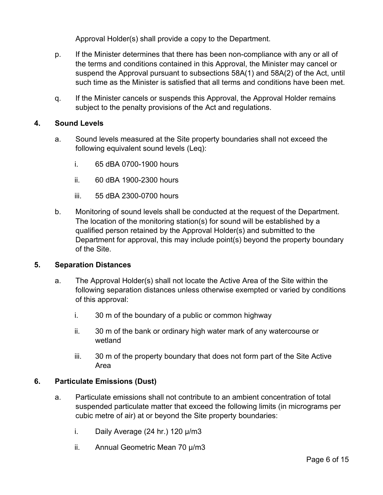Approval Holder(s) shall provide a copy to the Department.

- p. If the Minister determines that there has been non-compliance with any or all of the terms and conditions contained in this Approval, the Minister may cancel or suspend the Approval pursuant to subsections 58A(1) and 58A(2) of the Act, until such time as the Minister is satisfied that all terms and conditions have been met.
- q. If the Minister cancels or suspends this Approval, the Approval Holder remains subject to the penalty provisions of the Act and regulations.

## **4. Sound Levels**

- a. Sound levels measured at the Site property boundaries shall not exceed the following equivalent sound levels (Leq):
	- i. 65 dBA 0700-1900 hours
	- ii. 60 dBA 1900-2300 hours
	- iii. 55 dBA 2300-0700 hours
- b. Monitoring of sound levels shall be conducted at the request of the Department. The location of the monitoring station(s) for sound will be established by a qualified person retained by the Approval Holder(s) and submitted to the Department for approval, this may include point(s) beyond the property boundary of the Site.

#### **5. Separation Distances**

- a. The Approval Holder(s) shall not locate the Active Area of the Site within the following separation distances unless otherwise exempted or varied by conditions of this approval:
	- i. 30 m of the boundary of a public or common highway
	- ii. 30 m of the bank or ordinary high water mark of any watercourse or wetland
	- iii. 30 m of the property boundary that does not form part of the Site Active Area

#### **6. Particulate Emissions (Dust)**

- a. Particulate emissions shall not contribute to an ambient concentration of total suspended particulate matter that exceed the following limits (in micrograms per cubic metre of air) at or beyond the Site property boundaries:
	- i. Daily Average (24 hr.) 120 µ/m3
	- ii. Annual Geometric Mean 70 µ/m3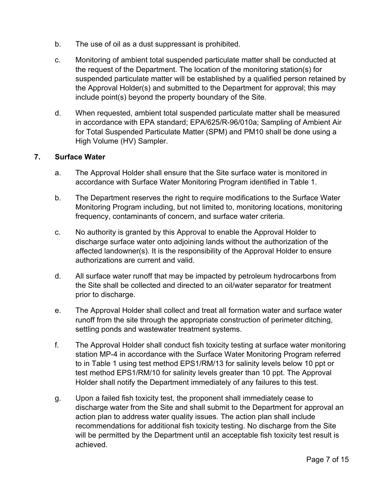- b. The use of oil as a dust suppressant is prohibited.
- c. Monitoring of ambient total suspended particulate matter shall be conducted at the request of the Department. The location of the monitoring station(s) for suspended particulate matter will be established by a qualified person retained by the Approval Holder(s) and submitted to the Department for approval; this may include point(s) beyond the property boundary of the Site.
- d. When requested, ambient total suspended particulate matter shall be measured in accordance with EPA standard; EPA/625/R-96/010a; Sampling of Ambient Air for Total Suspended Particulate Matter (SPM) and PM10 shall be done using a High Volume (HV) Sampler.

### **7. Surface Water**

- a. The Approval Holder shall ensure that the Site surface water is monitored in accordance with Surface Water Monitoring Program identified in Table 1.
- b. The Department reserves the right to require modifications to the Surface Water Monitoring Program including, but not limited to, monitoring locations, monitoring frequency, contaminants of concern, and surface water criteria.
- c. No authority is granted by this Approval to enable the Approval Holder to discharge surface water onto adjoining lands without the authorization of the affected landowner(s). It is the responsibility of the Approval Holder to ensure authorizations are current and valid.
- d. All surface water runoff that may be impacted by petroleum hydrocarbons from the Site shall be collected and directed to an oil/water separator for treatment prior to discharge.
- e. The Approval Holder shall collect and treat all formation water and surface water runoff from the site through the appropriate construction of perimeter ditching, settling ponds and wastewater treatment systems.
- f. The Approval Holder shall conduct fish toxicity testing at surface water monitoring station MP-4 in accordance with the Surface Water Monitoring Program referred to in Table 1 using test method EPS1/RM/13 for salinity levels below 10 ppt or test method EPS1/RM/10 for salinity levels greater than 10 ppt. The Approval Holder shall notify the Department immediately of any failures to this test.
- g. Upon a failed fish toxicity test, the proponent shall immediately cease to discharge water from the Site and shall submit to the Department for approval an action plan to address water quality issues. The action plan shall include recommendations for additional fish toxicity testing. No discharge from the Site will be permitted by the Department until an acceptable fish toxicity test result is achieved.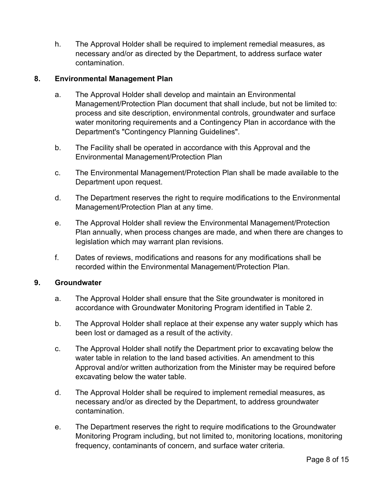h. The Approval Holder shall be required to implement remedial measures, as necessary and/or as directed by the Department, to address surface water contamination.

### **8. Environmental Management Plan**

- a. The Approval Holder shall develop and maintain an Environmental Management/Protection Plan document that shall include, but not be limited to: process and site description, environmental controls, groundwater and surface water monitoring requirements and a Contingency Plan in accordance with the Department's "Contingency Planning Guidelines".
- b. The Facility shall be operated in accordance with this Approval and the Environmental Management/Protection Plan
- c. The Environmental Management/Protection Plan shall be made available to the Department upon request.
- d. The Department reserves the right to require modifications to the Environmental Management/Protection Plan at any time.
- e. The Approval Holder shall review the Environmental Management/Protection Plan annually, when process changes are made, and when there are changes to legislation which may warrant plan revisions.
- f. Dates of reviews, modifications and reasons for any modifications shall be recorded within the Environmental Management/Protection Plan.

#### **9. Groundwater**

- a. The Approval Holder shall ensure that the Site groundwater is monitored in accordance with Groundwater Monitoring Program identified in Table 2.
- b. The Approval Holder shall replace at their expense any water supply which has been lost or damaged as a result of the activity.
- c. The Approval Holder shall notify the Department prior to excavating below the water table in relation to the land based activities. An amendment to this Approval and/or written authorization from the Minister may be required before excavating below the water table.
- d. The Approval Holder shall be required to implement remedial measures, as necessary and/or as directed by the Department, to address groundwater contamination.
- e. The Department reserves the right to require modifications to the Groundwater Monitoring Program including, but not limited to, monitoring locations, monitoring frequency, contaminants of concern, and surface water criteria.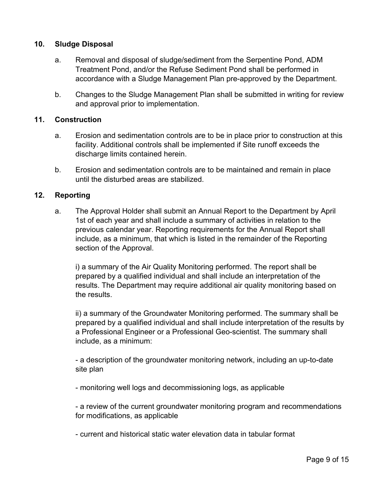#### **10. Sludge Disposal**

- a. Removal and disposal of sludge/sediment from the Serpentine Pond, ADM Treatment Pond, and/or the Refuse Sediment Pond shall be performed in accordance with a Sludge Management Plan pre-approved by the Department.
- b. Changes to the Sludge Management Plan shall be submitted in writing for review and approval prior to implementation.

#### **11. Construction**

- a. Erosion and sedimentation controls are to be in place prior to construction at this facility. Additional controls shall be implemented if Site runoff exceeds the discharge limits contained herein.
- b. Erosion and sedimentation controls are to be maintained and remain in place until the disturbed areas are stabilized.

#### **12. Reporting**

a. The Approval Holder shall submit an Annual Report to the Department by April 1st of each year and shall include a summary of activities in relation to the previous calendar year. Reporting requirements for the Annual Report shall include, as a minimum, that which is listed in the remainder of the Reporting section of the Approval.

i) a summary of the Air Quality Monitoring performed. The report shall be prepared by a qualified individual and shall include an interpretation of the results. The Department may require additional air quality monitoring based on the results.

ii) a summary of the Groundwater Monitoring performed. The summary shall be prepared by a qualified individual and shall include interpretation of the results by a Professional Engineer or a Professional Geo-scientist. The summary shall include, as a minimum:

- a description of the groundwater monitoring network, including an up-to-date site plan

- monitoring well logs and decommissioning logs, as applicable

- a review of the current groundwater monitoring program and recommendations for modifications, as applicable

- current and historical static water elevation data in tabular format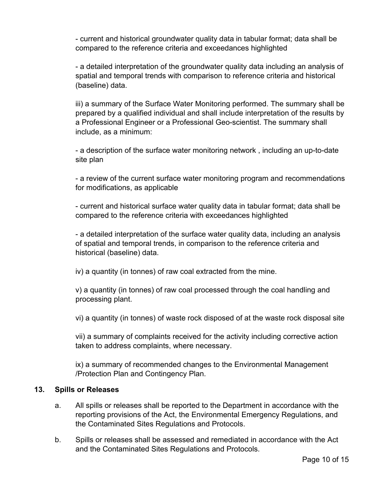- current and historical groundwater quality data in tabular format; data shall be compared to the reference criteria and exceedances highlighted

- a detailed interpretation of the groundwater quality data including an analysis of spatial and temporal trends with comparison to reference criteria and historical (baseline) data.

iii) a summary of the Surface Water Monitoring performed. The summary shall be prepared by a qualified individual and shall include interpretation of the results by a Professional Engineer or a Professional Geo-scientist. The summary shall include, as a minimum:

- a description of the surface water monitoring network , including an up-to-date site plan

- a review of the current surface water monitoring program and recommendations for modifications, as applicable

- current and historical surface water quality data in tabular format; data shall be compared to the reference criteria with exceedances highlighted

- a detailed interpretation of the surface water quality data, including an analysis of spatial and temporal trends, in comparison to the reference criteria and historical (baseline) data.

iv) a quantity (in tonnes) of raw coal extracted from the mine.

v) a quantity (in tonnes) of raw coal processed through the coal handling and processing plant.

vi) a quantity (in tonnes) of waste rock disposed of at the waste rock disposal site

vii) a summary of complaints received for the activity including corrective action taken to address complaints, where necessary.

ix) a summary of recommended changes to the Environmental Management /Protection Plan and Contingency Plan.

#### **13. Spills or Releases**

- a. All spills or releases shall be reported to the Department in accordance with the reporting provisions of the Act, the Environmental Emergency Regulations, and the Contaminated Sites Regulations and Protocols.
- b. Spills or releases shall be assessed and remediated in accordance with the Act and the Contaminated Sites Regulations and Protocols.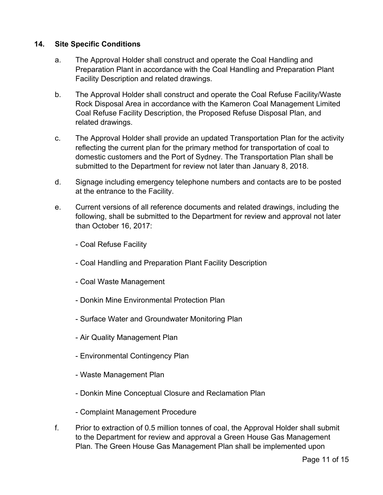### **14. Site Specific Conditions**

- a. The Approval Holder shall construct and operate the Coal Handling and Preparation Plant in accordance with the Coal Handling and Preparation Plant Facility Description and related drawings.
- b. The Approval Holder shall construct and operate the Coal Refuse Facility/Waste Rock Disposal Area in accordance with the Kameron Coal Management Limited Coal Refuse Facility Description, the Proposed Refuse Disposal Plan, and related drawings.
- c. The Approval Holder shall provide an updated Transportation Plan for the activity reflecting the current plan for the primary method for transportation of coal to domestic customers and the Port of Sydney. The Transportation Plan shall be submitted to the Department for review not later than January 8, 2018.
- d. Signage including emergency telephone numbers and contacts are to be posted at the entrance to the Facility.
- e. Current versions of all reference documents and related drawings, including the following, shall be submitted to the Department for review and approval not later than October 16, 2017:
	- Coal Refuse Facility
	- Coal Handling and Preparation Plant Facility Description
	- Coal Waste Management
	- Donkin Mine Environmental Protection Plan
	- Surface Water and Groundwater Monitoring Plan
	- Air Quality Management Plan
	- Environmental Contingency Plan
	- Waste Management Plan
	- Donkin Mine Conceptual Closure and Reclamation Plan
	- Complaint Management Procedure
- f. Prior to extraction of 0.5 million tonnes of coal, the Approval Holder shall submit to the Department for review and approval a Green House Gas Management Plan. The Green House Gas Management Plan shall be implemented upon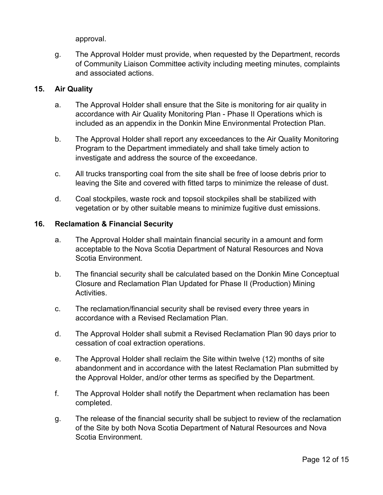approval.

g. The Approval Holder must provide, when requested by the Department, records of Community Liaison Committee activity including meeting minutes, complaints and associated actions.

### **15. Air Quality**

- a. The Approval Holder shall ensure that the Site is monitoring for air quality in accordance with Air Quality Monitoring Plan - Phase II Operations which is included as an appendix in the Donkin Mine Environmental Protection Plan.
- b. The Approval Holder shall report any exceedances to the Air Quality Monitoring Program to the Department immediately and shall take timely action to investigate and address the source of the exceedance.
- c. All trucks transporting coal from the site shall be free of loose debris prior to leaving the Site and covered with fitted tarps to minimize the release of dust.
- d. Coal stockpiles, waste rock and topsoil stockpiles shall be stabilized with vegetation or by other suitable means to minimize fugitive dust emissions.

#### **16. Reclamation & Financial Security**

- a. The Approval Holder shall maintain financial security in a amount and form acceptable to the Nova Scotia Department of Natural Resources and Nova Scotia Environment.
- b. The financial security shall be calculated based on the Donkin Mine Conceptual Closure and Reclamation Plan Updated for Phase II (Production) Mining Activities.
- c. The reclamation/financial security shall be revised every three years in accordance with a Revised Reclamation Plan.
- d. The Approval Holder shall submit a Revised Reclamation Plan 90 days prior to cessation of coal extraction operations.
- e. The Approval Holder shall reclaim the Site within twelve (12) months of site abandonment and in accordance with the latest Reclamation Plan submitted by the Approval Holder, and/or other terms as specified by the Department.
- f. The Approval Holder shall notify the Department when reclamation has been completed.
- g. The release of the financial security shall be subject to review of the reclamation of the Site by both Nova Scotia Department of Natural Resources and Nova Scotia Environment.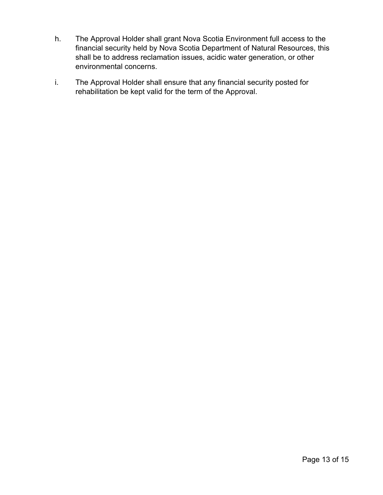- h. The Approval Holder shall grant Nova Scotia Environment full access to the financial security held by Nova Scotia Department of Natural Resources, this shall be to address reclamation issues, acidic water generation, or other environmental concerns.
- i. The Approval Holder shall ensure that any financial security posted for rehabilitation be kept valid for the term of the Approval.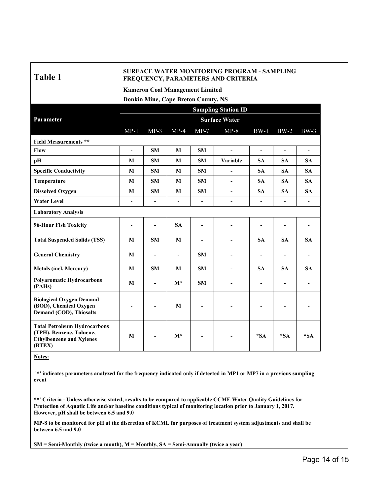## **Table 1**

#### **SURFACE WATER MONITORING PROGRAM - SAMPLING FREQUENCY, PARAMETERS AND CRITERIA**

**Kameron Coal Management Limited**

**Donkin Mine, Cape Breton County, NS**

|                                                                                                              | <b>Sampling Station ID</b> |                |                          |                          |                          |                          |                          |                          |
|--------------------------------------------------------------------------------------------------------------|----------------------------|----------------|--------------------------|--------------------------|--------------------------|--------------------------|--------------------------|--------------------------|
| Parameter                                                                                                    | <b>Surface Water</b>       |                |                          |                          |                          |                          |                          |                          |
|                                                                                                              | $MP-1$                     | $MP-3$         | $MP-4$                   | $MP-7$                   | $MP-8$                   | $BW-1$                   | $BW-2$                   | $BW-3$                   |
| <b>Field Measurements **</b>                                                                                 |                            |                |                          |                          |                          |                          |                          |                          |
| Flow                                                                                                         | $\overline{\phantom{a}}$   | <b>SM</b>      | M                        | <b>SM</b>                | $\blacksquare$           | $\blacksquare$           | $\blacksquare$           | $\blacksquare$           |
| pH                                                                                                           | M                          | <b>SM</b>      | M                        | <b>SM</b>                | Variable                 | <b>SA</b>                | <b>SA</b>                | <b>SA</b>                |
| <b>Specific Conductivity</b>                                                                                 | M                          | SM             | M                        | SM                       | $\blacksquare$           | <b>SA</b>                | <b>SA</b>                | <b>SA</b>                |
| Temperature                                                                                                  | M                          | <b>SM</b>      | M                        | <b>SM</b>                | $\blacksquare$           | <b>SA</b>                | <b>SA</b>                | <b>SA</b>                |
| <b>Dissolved Oxygen</b>                                                                                      | M                          | SM             | M                        | SM                       | $\overline{\phantom{a}}$ | <b>SA</b>                | <b>SA</b>                | <b>SA</b>                |
| <b>Water Level</b>                                                                                           | $\blacksquare$             | $\blacksquare$ | $\overline{\phantom{a}}$ | $\overline{\phantom{a}}$ | $\overline{\phantom{a}}$ | $\blacksquare$           | $\overline{\phantom{0}}$ | $\blacksquare$           |
| <b>Laboratory Analysis</b>                                                                                   |                            |                |                          |                          |                          |                          |                          |                          |
| 96-Hour Fish Toxicity                                                                                        |                            | $\blacksquare$ | <b>SA</b>                | $\overline{\phantom{a}}$ | $\blacksquare$           | $\blacksquare$           | -                        | $\overline{\phantom{a}}$ |
| <b>Total Suspended Solids (TSS)</b>                                                                          | M                          | <b>SM</b>      | M                        |                          |                          | <b>SA</b>                | <b>SA</b>                | <b>SA</b>                |
| <b>General Chemistry</b>                                                                                     | M                          | $\blacksquare$ | $\overline{\phantom{a}}$ | <b>SM</b>                | $\blacksquare$           | $\blacksquare$           | -                        | $\blacksquare$           |
| <b>Metals (incl. Mercury)</b>                                                                                | M                          | <b>SM</b>      | M                        | <b>SM</b>                |                          | <b>SA</b>                | <b>SA</b>                | <b>SA</b>                |
| <b>Polyaromatic Hydrocarbons</b><br>(PAHs)                                                                   | M                          | $\blacksquare$ | $M^*$                    | <b>SM</b>                |                          | $\overline{\phantom{a}}$ | $\overline{\phantom{0}}$ |                          |
| <b>Biological Oxygen Demand</b><br>(BOD), Chemical Oxygen<br><b>Demand (COD), Thiosalts</b>                  |                            |                | M                        |                          |                          |                          | -                        |                          |
| <b>Total Petroleum Hydrocarbons</b><br>(TPH), Benzene, Toluene,<br><b>Ethylbenzene and Xylenes</b><br>(BTEX) | M                          |                | $M^*$                    |                          |                          | $*SA$                    | $*SA$                    | $*SA$                    |

**Notes:**

'\*' indicates parameters analyzed for the frequency indicated only if detected in MP1 or MP7 in a previous sampling **event**

\*\*' Criteria - Unless otherwise stated, results to be compared to applicable CCME Water Quality Guidelines for **Protection of Aquatic Life and/or baseline conditions typical of monitoring location prior to January 1, 2017. However, pH shall be between 6.5 and 9.0**

MP-8 to be monitored for pH at the discretion of KCML for purposes of treatment system adjustments and shall be **between 6.5 and 9.0**

**SM = Semi-Monthly (twice a month), M = Monthly, SA = Semi-Annually (twice a year)**